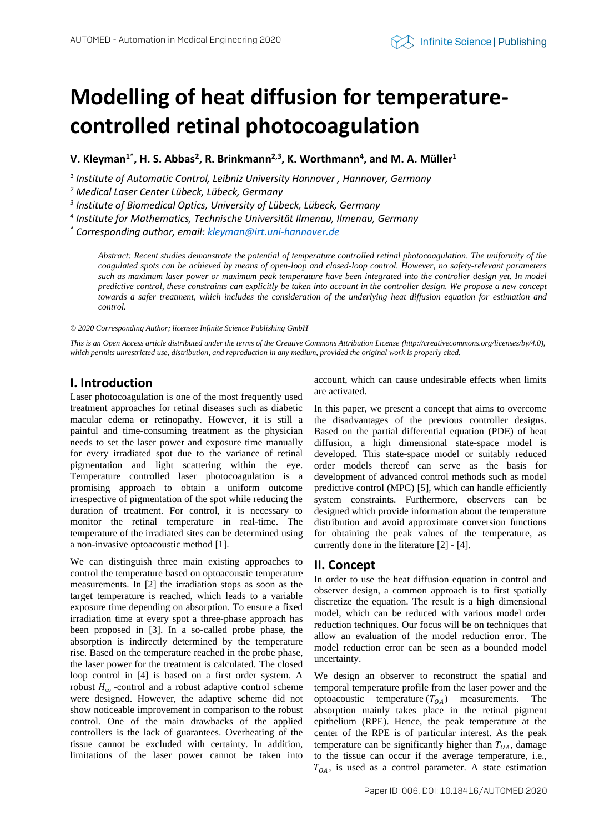# **Modelling of heat diffusion for temperaturecontrolled retinal photocoagulation**

**V. Kleyman1\* , H. S. Abbas<sup>2</sup> , R. Brinkmann2,3 , K. Worthmann<sup>4</sup> , and M. A. Müller<sup>1</sup>**

*1 Institute of Automatic Control, Leibniz University Hannover , Hannover, Germany*

*<sup>2</sup> Medical Laser Center Lübeck, Lübeck, Germany*

*3 Institute of Biomedical Optics, University of Lübeck, Lübeck, Germany*

*4 Institute for Mathematics, Technische Universität Ilmenau, Ilmenau, Germany*

*\* Corresponding author, email[: kleyman@irt.uni-hannover.de](mailto:kleyman@irt.uni-hannover.de)*

*Abstract: Recent studies demonstrate the potential of temperature controlled retinal photocoagulation. The uniformity of the coagulated spots can be achieved by means of open-loop and closed-loop control. However, no safety-relevant parameters such as maximum laser power or maximum peak temperature have been integrated into the controller design yet. In model predictive control, these constraints can explicitly be taken into account in the controller design. We propose a new concept towards a safer treatment, which includes the consideration of the underlying heat diffusion equation for estimation and control.*

*© 2020 Corresponding Author; licensee Infinite Science Publishing GmbH*

*This is an Open Access article distributed under the terms of the Creative Commons Attribution License (http://creativecommons.org/licenses/by/4.0), which permits unrestricted use, distribution, and reproduction in any medium, provided the original work is properly cited.*

# **I. Introduction**

Laser photocoagulation is one of the most frequently used treatment approaches for retinal diseases such as diabetic macular edema or retinopathy. However, it is still a painful and time-consuming treatment as the physician needs to set the laser power and exposure time manually for every irradiated spot due to the variance of retinal pigmentation and light scattering within the eye. Temperature controlled laser photocoagulation is a promising approach to obtain a uniform outcome irrespective of pigmentation of the spot while reducing the duration of treatment. For control, it is necessary to monitor the retinal temperature in real-time. The temperature of the irradiated sites can be determined using a non-invasive optoacoustic method [1].

We can distinguish three main existing approaches to control the temperature based on optoacoustic temperature measurements. In [2] the irradiation stops as soon as the target temperature is reached, which leads to a variable exposure time depending on absorption. To ensure a fixed irradiation time at every spot a three-phase approach has been proposed in [3]. In a so-called probe phase, the absorption is indirectly determined by the temperature rise. Based on the temperature reached in the probe phase, the laser power for the treatment is calculated. The closed loop control in [4] is based on a first order system. A robust  $H_{\infty}$ -control and a robust adaptive control scheme were designed. However, the adaptive scheme did not show noticeable improvement in comparison to the robust control. One of the main drawbacks of the applied controllers is the lack of guarantees. Overheating of the tissue cannot be excluded with certainty. In addition, limitations of the laser power cannot be taken into

account, which can cause undesirable effects when limits are activated.

In this paper, we present a concept that aims to overcome the disadvantages of the previous controller designs. Based on the partial differential equation (PDE) of heat diffusion, a high dimensional state-space model is developed. This state-space model or suitably reduced order models thereof can serve as the basis for development of advanced control methods such as model predictive control (MPC) [5], which can handle efficiently system constraints. Furthermore, observers can be designed which provide information about the temperature distribution and avoid approximate conversion functions for obtaining the peak values of the temperature, as currently done in the literature [2] - [4].

## **II. Concept**

In order to use the heat diffusion equation in control and observer design, a common approach is to first spatially discretize the equation. The result is a high dimensional model, which can be reduced with various model order reduction techniques. Our focus will be on techniques that allow an evaluation of the model reduction error. The model reduction error can be seen as a bounded model uncertainty.

We design an observer to reconstruct the spatial and temporal temperature profile from the laser power and the optoacoustic temperature  $(T<sub>OA</sub>)$  measurements. The absorption mainly takes place in the retinal pigment epithelium (RPE). Hence, the peak temperature at the center of the RPE is of particular interest. As the peak temperature can be significantly higher than  $T_{OA}$ , damage to the tissue can occur if the average temperature, i.e.,  $T_{OA}$ , is used as a control parameter. A state estimation